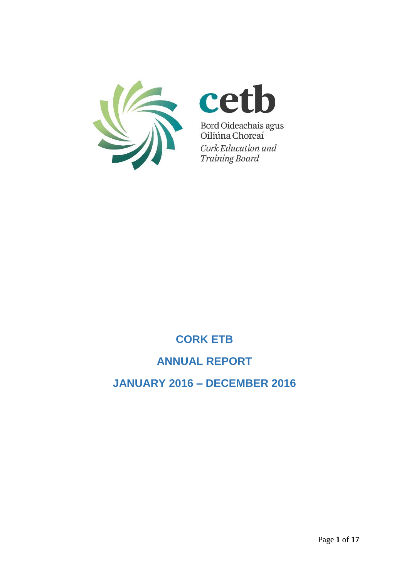



Bord Oideachais agus<br>Oiliúna Chorcaí Cork Education and **Training Board** 

# **CORK ETB**

## **ANNUAL REPORT**

## **JANUARY 2016 – DECEMBER 2016**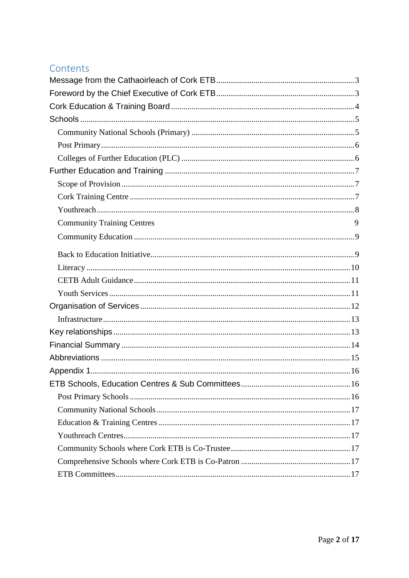## Contents

| <b>Community Training Centres</b> | 9 |
|-----------------------------------|---|
|                                   |   |
|                                   |   |
|                                   |   |
|                                   |   |
|                                   |   |
|                                   |   |
|                                   |   |
|                                   |   |
|                                   |   |
|                                   |   |
|                                   |   |
|                                   |   |
|                                   |   |
|                                   |   |
|                                   |   |
|                                   |   |
|                                   |   |
|                                   |   |
|                                   |   |
|                                   |   |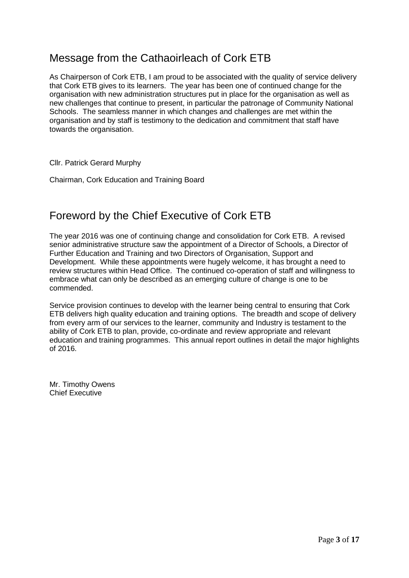# <span id="page-2-0"></span>Message from the Cathaoirleach of Cork ETB

As Chairperson of Cork ETB, I am proud to be associated with the quality of service delivery that Cork ETB gives to its learners. The year has been one of continued change for the organisation with new administration structures put in place for the organisation as well as new challenges that continue to present, in particular the patronage of Community National Schools. The seamless manner in which changes and challenges are met within the organisation and by staff is testimony to the dedication and commitment that staff have towards the organisation.

Cllr. Patrick Gerard Murphy

Chairman, Cork Education and Training Board

## <span id="page-2-1"></span>Foreword by the Chief Executive of Cork ETB

The year 2016 was one of continuing change and consolidation for Cork ETB. A revised senior administrative structure saw the appointment of a Director of Schools, a Director of Further Education and Training and two Directors of Organisation, Support and Development. While these appointments were hugely welcome, it has brought a need to review structures within Head Office. The continued co-operation of staff and willingness to embrace what can only be described as an emerging culture of change is one to be commended.

Service provision continues to develop with the learner being central to ensuring that Cork ETB delivers high quality education and training options. The breadth and scope of delivery from every arm of our services to the learner, community and Industry is testament to the ability of Cork ETB to plan, provide, co-ordinate and review appropriate and relevant education and training programmes. This annual report outlines in detail the major highlights of 2016.

Mr. Timothy Owens Chief Executive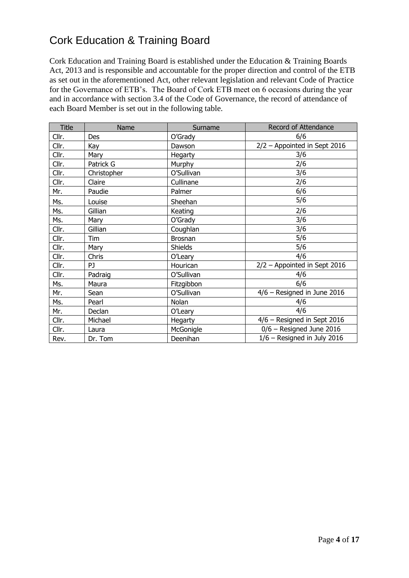# <span id="page-3-0"></span>Cork Education & Training Board

Cork Education and Training Board is established under the Education & Training Boards Act, 2013 and is responsible and accountable for the proper direction and control of the ETB as set out in the aforementioned Act, other relevant legislation and relevant Code of Practice for the Governance of ETB's. The Board of Cork ETB meet on 6 occasions during the year and in accordance with section 3.4 of the Code of Governance, the record of attendance of each Board Member is set out in the following table.

| Title | Name        | Surname        | Record of Attendance           |
|-------|-------------|----------------|--------------------------------|
| Cllr. | Des         | O'Grady        | 6/6                            |
| Cllr. | Kay         | Dawson         | $2/2$ – Appointed in Sept 2016 |
| Cllr. | Mary        | Hegarty        | 3/6                            |
| Cllr. | Patrick G   | Murphy         | 2/6                            |
| Cllr. | Christopher | O'Sullivan     | 3/6                            |
| Cllr. | Claire      | Cullinane      | 2/6                            |
| Mr.   | Paudie      | Palmer         | 6/6                            |
| Ms.   | Louise      | Sheehan        | 5/6                            |
| Ms.   | Gillian     | Keating        | 2/6                            |
| Ms.   | Mary        | O'Grady        | 3/6                            |
| Cllr. | Gillian     | Coughlan       | 3/6                            |
| Cllr. | Tim         | Brosnan        | 5/6                            |
| Cllr. | Mary        | <b>Shields</b> | 5/6                            |
| Cllr. | Chris       | O'Leary        | 4/6                            |
| Cllr. | PJ          | Hourican       | $2/2$ – Appointed in Sept 2016 |
| Cllr. | Padraig     | O'Sullivan     | 4/6                            |
| Ms.   | Maura       | Fitzgibbon     | 6/6                            |
| Mr.   | Sean        | O'Sullivan     | 4/6 - Resigned in June 2016    |
| Ms.   | Pearl       | Nolan          | 4/6                            |
| Mr.   | Declan      | O'Leary        | 4/6                            |
| Cllr. | Michael     | Hegarty        | 4/6 - Resigned in Sept 2016    |
| Cllr. | Laura       | McGonigle      | $0/6$ – Resigned June 2016     |
| Rev.  | Dr. Tom     | Deenihan       | $1/6$ - Resigned in July 2016  |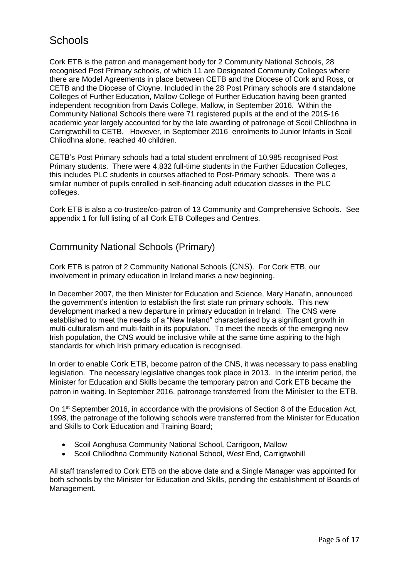## <span id="page-4-0"></span>**Schools**

Cork ETB is the patron and management body for 2 Community National Schools, 28 recognised Post Primary schools, of which 11 are Designated Community Colleges where there are Model Agreements in place between CETB and the Diocese of Cork and Ross, or CETB and the Diocese of Cloyne. Included in the 28 Post Primary schools are 4 standalone Colleges of Further Education, Mallow College of Further Education having been granted independent recognition from Davis College, Mallow, in September 2016. Within the Community National Schools there were 71 registered pupils at the end of the 2015-16 academic year largely accounted for by the late awarding of patronage of Scoil Chlíodhna in Carrigtwohill to CETB. However, in September 2016 enrolments to Junior Infants in Scoil Chliodhna alone, reached 40 children.

CETB's Post Primary schools had a total student enrolment of 10,985 recognised Post Primary students. There were 4,832 full-time students in the Further Education Colleges, this includes PLC students in courses attached to Post-Primary schools. There was a similar number of pupils enrolled in self-financing adult education classes in the PLC colleges.

Cork ETB is also a co-trustee/co-patron of 13 Community and Comprehensive Schools. See appendix 1 for full listing of all Cork ETB Colleges and Centres.

#### <span id="page-4-1"></span>Community National Schools (Primary)

Cork ETB is patron of 2 Community National Schools (CNS). For Cork ETB, our involvement in primary education in Ireland marks a new beginning.

In December 2007, the then Minister for Education and Science, Mary Hanafin, announced the government's intention to establish the first state run primary schools. This new development marked a new departure in primary education in Ireland. The CNS were established to meet the needs of a "New Ireland" characterised by a significant growth in multi-culturalism and multi-faith in its population. To meet the needs of the emerging new Irish population, the CNS would be inclusive while at the same time aspiring to the high standards for which Irish primary education is recognised.

In order to enable Cork ETB, become patron of the CNS, it was necessary to pass enabling legislation. The necessary legislative changes took place in 2013. In the interim period, the Minister for Education and Skills became the temporary patron and Cork ETB became the patron in waiting. In September 2016, patronage transferred from the Minister to the ETB.

On 1st September 2016, in accordance with the provisions of Section 8 of the Education Act, 1998, the patronage of the following schools were transferred from the Minister for Education and Skills to Cork Education and Training Board;

- Scoil Aonghusa Community National School, Carrigoon, Mallow
- Scoil Chlíodhna Community National School, West End, Carrigtwohill

All staff transferred to Cork ETB on the above date and a Single Manager was appointed for both schools by the Minister for Education and Skills, pending the establishment of Boards of Management.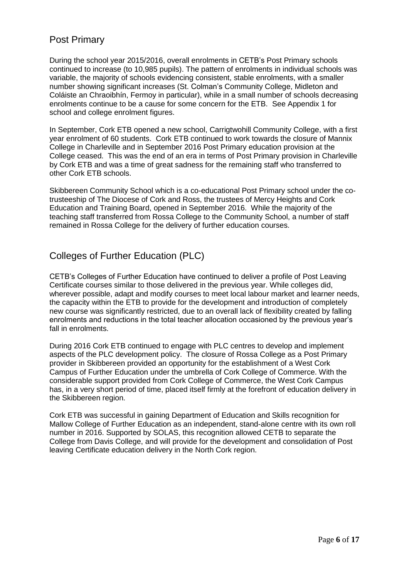#### <span id="page-5-0"></span>Post Primary

During the school year 2015/2016, overall enrolments in CETB's Post Primary schools continued to increase (to 10,985 pupils). The pattern of enrolments in individual schools was variable, the majority of schools evidencing consistent, stable enrolments, with a smaller number showing significant increases (St. Colman's Community College, Midleton and Coláiste an Chraoibhín, Fermoy in particular), while in a small number of schools decreasing enrolments continue to be a cause for some concern for the ETB. See Appendix 1 for school and college enrolment figures.

In September, Cork ETB opened a new school, Carrigtwohill Community College, with a first year enrolment of 60 students. Cork ETB continued to work towards the closure of Mannix College in Charleville and in September 2016 Post Primary education provision at the College ceased. This was the end of an era in terms of Post Primary provision in Charleville by Cork ETB and was a time of great sadness for the remaining staff who transferred to other Cork ETB schools.

Skibbereen Community School which is a co-educational Post Primary school under the cotrusteeship of The Diocese of Cork and Ross, the trustees of Mercy Heights and Cork Education and Training Board, opened in September 2016. While the majority of the teaching staff transferred from Rossa College to the Community School, a number of staff remained in Rossa College for the delivery of further education courses.

### <span id="page-5-1"></span>Colleges of Further Education (PLC)

CETB's Colleges of Further Education have continued to deliver a profile of Post Leaving Certificate courses similar to those delivered in the previous year. While colleges did, wherever possible, adapt and modify courses to meet local labour market and learner needs, the capacity within the ETB to provide for the development and introduction of completely new course was significantly restricted, due to an overall lack of flexibility created by falling enrolments and reductions in the total teacher allocation occasioned by the previous year's fall in enrolments.

During 2016 Cork ETB continued to engage with PLC centres to develop and implement aspects of the PLC development policy. The closure of Rossa College as a Post Primary provider in Skibbereen provided an opportunity for the establishment of a West Cork Campus of Further Education under the umbrella of Cork College of Commerce. With the considerable support provided from Cork College of Commerce, the West Cork Campus has, in a very short period of time, placed itself firmly at the forefront of education delivery in the Skibbereen region.

Cork ETB was successful in gaining Department of Education and Skills recognition for Mallow College of Further Education as an independent, stand-alone centre with its own roll number in 2016. Supported by SOLAS, this recognition allowed CETB to separate the College from Davis College, and will provide for the development and consolidation of Post leaving Certificate education delivery in the North Cork region.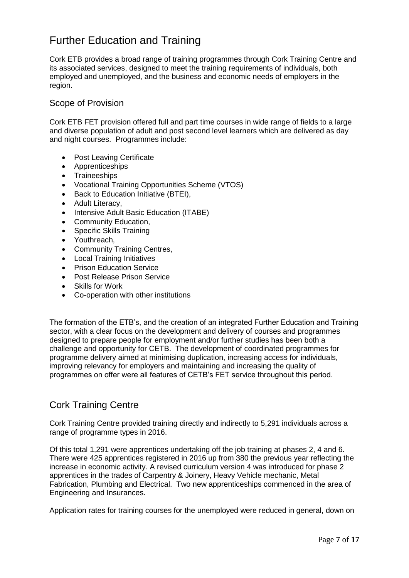# <span id="page-6-0"></span>Further Education and Training

Cork ETB provides a broad range of training programmes through Cork Training Centre and its associated services, designed to meet the training requirements of individuals, both employed and unemployed, and the business and economic needs of employers in the region.

#### <span id="page-6-1"></span>Scope of Provision

Cork ETB FET provision offered full and part time courses in wide range of fields to a large and diverse population of adult and post second level learners which are delivered as day and night courses. Programmes include:

- Post Leaving Certificate
- Apprenticeships
- Traineeships
- Vocational Training Opportunities Scheme (VTOS)
- Back to Education Initiative (BTEI),
- Adult Literacy,
- Intensive Adult Basic Education (ITABE)
- Community Education,
- Specific Skills Training
- Youthreach.
- Community Training Centres,
- Local Training Initiatives
- Prison Education Service
- Post Release Prison Service
- Skills for Work
- Co-operation with other institutions

The formation of the ETB's, and the creation of an integrated Further Education and Training sector, with a clear focus on the development and delivery of courses and programmes designed to prepare people for employment and/or further studies has been both a challenge and opportunity for CETB. The development of coordinated programmes for programme delivery aimed at minimising duplication, increasing access for individuals, improving relevancy for employers and maintaining and increasing the quality of programmes on offer were all features of CETB's FET service throughout this period.

#### <span id="page-6-2"></span>Cork Training Centre

Cork Training Centre provided training directly and indirectly to 5,291 individuals across a range of programme types in 2016.

Of this total 1,291 were apprentices undertaking off the job training at phases 2, 4 and 6. There were 425 apprentices registered in 2016 up from 380 the previous year reflecting the increase in economic activity. A revised curriculum version 4 was introduced for phase 2 apprentices in the trades of Carpentry & Joinery, Heavy Vehicle mechanic, Metal Fabrication, Plumbing and Electrical. Two new apprenticeships commenced in the area of Engineering and Insurances.

Application rates for training courses for the unemployed were reduced in general, down on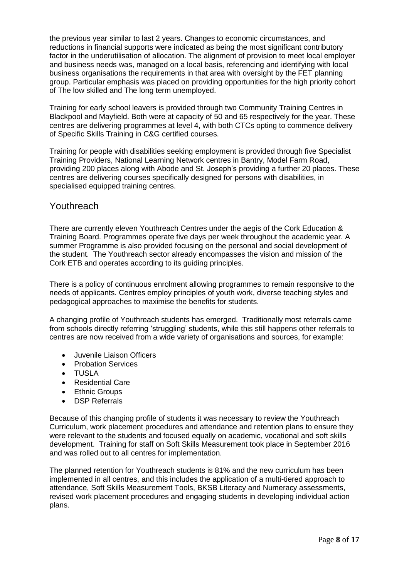the previous year similar to last 2 years. Changes to economic circumstances, and reductions in financial supports were indicated as being the most significant contributory factor in the underutilisation of allocation. The alignment of provision to meet local employer and business needs was, managed on a local basis, referencing and identifying with local business organisations the requirements in that area with oversight by the FET planning group. Particular emphasis was placed on providing opportunities for the high priority cohort of The low skilled and The long term unemployed.

Training for early school leavers is provided through two Community Training Centres in Blackpool and Mayfield. Both were at capacity of 50 and 65 respectively for the year. These centres are delivering programmes at level 4, with both CTCs opting to commence delivery of Specific Skills Training in C&G certified courses.

Training for people with disabilities seeking employment is provided through five Specialist Training Providers, National Learning Network centres in Bantry, Model Farm Road, providing 200 places along with Abode and St. Joseph's providing a further 20 places. These centres are delivering courses specifically designed for persons with disabilities, in specialised equipped training centres.

#### <span id="page-7-0"></span>**Youthreach**

There are currently eleven Youthreach Centres under the aegis of the Cork Education & Training Board. Programmes operate five days per week throughout the academic year. A summer Programme is also provided focusing on the personal and social development of the student. The Youthreach sector already encompasses the vision and mission of the Cork ETB and operates according to its guiding principles.

There is a policy of continuous enrolment allowing programmes to remain responsive to the needs of applicants. Centres employ principles of youth work, diverse teaching styles and pedagogical approaches to maximise the benefits for students.

A changing profile of Youthreach students has emerged. Traditionally most referrals came from schools directly referring 'struggling' students, while this still happens other referrals to centres are now received from a wide variety of organisations and sources, for example:

- Juvenile Liaison Officers
- Probation Services
- TUSLA
- Residential Care
- Ethnic Groups
- DSP Referrals

Because of this changing profile of students it was necessary to review the Youthreach Curriculum, work placement procedures and attendance and retention plans to ensure they were relevant to the students and focused equally on academic, vocational and soft skills development. Training for staff on Soft Skills Measurement took place in September 2016 and was rolled out to all centres for implementation.

The planned retention for Youthreach students is 81% and the new curriculum has been implemented in all centres, and this includes the application of a multi-tiered approach to attendance, Soft Skills Measurement Tools, BKSB Literacy and Numeracy assessments, revised work placement procedures and engaging students in developing individual action plans.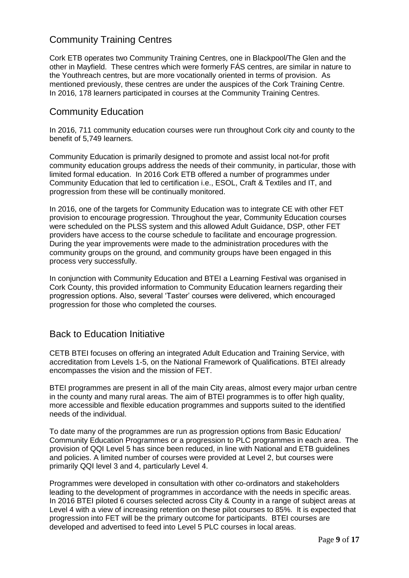#### Community Training Centres

Cork ETB operates two Community Training Centres, one in Blackpool/The Glen and the other in Mayfield. These centres which were formerly FÁS centres, are similar in nature to the Youthreach centres, but are more vocationally oriented in terms of provision. As mentioned previously, these centres are under the auspices of the Cork Training Centre. In 2016, 178 learners participated in courses at the Community Training Centres.

#### <span id="page-8-0"></span>Community Education

In 2016, 711 community education courses were run throughout Cork city and county to the benefit of 5,749 learners.

Community Education is primarily designed to promote and assist local not-for profit community education groups address the needs of their community, in particular, those with limited formal education. In 2016 Cork ETB offered a number of programmes under Community Education that led to certification i.e., ESOL, Craft & Textiles and IT, and progression from these will be continually monitored.

In 2016, one of the targets for Community Education was to integrate CE with other FET provision to encourage progression. Throughout the year, Community Education courses were scheduled on the PLSS system and this allowed Adult Guidance, DSP, other FET providers have access to the course schedule to facilitate and encourage progression. During the year improvements were made to the administration procedures with the community groups on the ground, and community groups have been engaged in this process very successfully.

In conjunction with Community Education and BTEI a Learning Festival was organised in Cork County, this provided information to Community Education learners regarding their progression options. Also, several 'Taster' courses were delivered, which encouraged progression for those who completed the courses.

#### <span id="page-8-1"></span>Back to Education Initiative

CETB BTEI focuses on offering an integrated Adult Education and Training Service, with accreditation from Levels 1-5, on the National Framework of Qualifications. BTEI already encompasses the vision and the mission of FET.

BTEI programmes are present in all of the main City areas, almost every major urban centre in the county and many rural areas. The aim of BTEI programmes is to offer high quality, more accessible and flexible education programmes and supports suited to the identified needs of the individual.

To date many of the programmes are run as progression options from Basic Education/ Community Education Programmes or a progression to PLC programmes in each area. The provision of QQI Level 5 has since been reduced, in line with National and ETB guidelines and policies. A limited number of courses were provided at Level 2, but courses were primarily QQI level 3 and 4, particularly Level 4.

Programmes were developed in consultation with other co-ordinators and stakeholders leading to the development of programmes in accordance with the needs in specific areas. In 2016 BTEI piloted 6 courses selected across City & County in a range of subject areas at Level 4 with a view of increasing retention on these pilot courses to 85%. It is expected that progression into FET will be the primary outcome for participants. BTEI courses are developed and advertised to feed into Level 5 PLC courses in local areas.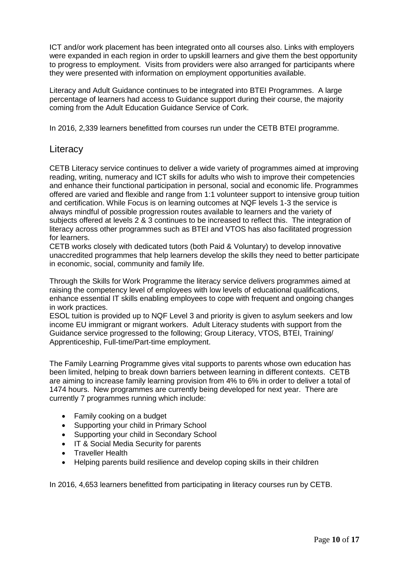ICT and/or work placement has been integrated onto all courses also. Links with employers were expanded in each region in order to upskill learners and give them the best opportunity to progress to employment. Visits from providers were also arranged for participants where they were presented with information on employment opportunities available.

Literacy and Adult Guidance continues to be integrated into BTEI Programmes. A large percentage of learners had access to Guidance support during their course, the majority coming from the Adult Education Guidance Service of Cork.

In 2016, 2,339 learners benefitted from courses run under the CETB BTEI programme.

#### <span id="page-9-0"></span>**Literacy**

CETB Literacy service continues to deliver a wide variety of programmes aimed at improving reading, writing, numeracy and ICT skills for adults who wish to improve their competencies and enhance their functional participation in personal, social and economic life. Programmes offered are varied and flexible and range from 1:1 volunteer support to intensive group tuition and certification. While Focus is on learning outcomes at NQF levels 1-3 the service is always mindful of possible progression routes available to learners and the variety of subjects offered at levels 2 & 3 continues to be increased to reflect this. The integration of literacy across other programmes such as BTEI and VTOS has also facilitated progression for learners.

CETB works closely with dedicated tutors (both Paid & Voluntary) to develop innovative unaccredited programmes that help learners develop the skills they need to better participate in economic, social, community and family life.

Through the Skills for Work Programme the literacy service delivers programmes aimed at raising the competency level of employees with low levels of educational qualifications, enhance essential IT skills enabling employees to cope with frequent and ongoing changes in work practices.

ESOL tuition is provided up to NQF Level 3 and priority is given to asylum seekers and low income EU immigrant or migrant workers. Adult Literacy students with support from the Guidance service progressed to the following; Group Literacy, VTOS, BTEI, Training/ Apprenticeship, Full-time/Part-time employment.

The Family Learning Programme gives vital supports to parents whose own education has been limited, helping to break down barriers between learning in different contexts. CETB are aiming to increase family learning provision from 4% to 6% in order to deliver a total of 1474 hours. New programmes are currently being developed for next year. There are currently 7 programmes running which include:

- Family cooking on a budget
- Supporting your child in Primary School
- Supporting your child in Secondary School
- IT & Social Media Security for parents
- Traveller Health
- Helping parents build resilience and develop coping skills in their children

In 2016, 4,653 learners benefitted from participating in literacy courses run by CETB.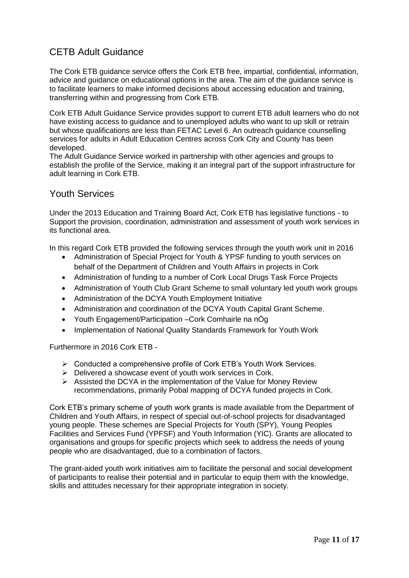### <span id="page-10-0"></span>CETB Adult Guidance

The Cork ETB guidance service offers the Cork ETB free, impartial, confidential, information, advice and guidance on educational options in the area. The aim of the guidance service is to facilitate learners to make informed decisions about accessing education and training, transferring within and progressing from Cork ETB.

Cork ETB Adult Guidance Service provides support to current ETB adult learners who do not have existing access to guidance and to unemployed adults who want to up skill or retrain but whose qualifications are less than FETAC Level 6. An outreach guidance counselling services for adults in Adult Education Centres across Cork City and County has been developed.

The Adult Guidance Service worked in partnership with other agencies and groups to establish the profile of the Service, making it an integral part of the support infrastructure for adult learning in Cork ETB.

#### <span id="page-10-1"></span>Youth Services

Under the 2013 Education and Training Board Act, Cork ETB has legislative functions - to Support the provision, coordination, administration and assessment of youth work services in its functional area.

In this regard Cork ETB provided the following services through the youth work unit in 2016

- Administration of Special Project for Youth & YPSF funding to youth services on behalf of the Department of Children and Youth Affairs in projects in Cork
- Administration of funding to a number of Cork Local Drugs Task Force Projects
- Administration of Youth Club Grant Scheme to small voluntary led youth work groups
- Administration of the DCYA Youth Employment Initiative
- Administration and coordination of the DCYA Youth Capital Grant Scheme.
- Youth Engagement/Participation –Cork Comhairle na nÓg
- Implementation of National Quality Standards Framework for Youth Work

Furthermore in 2016 Cork ETB -

- Conducted a comprehensive profile of Cork ETB's Youth Work Services.
- $\triangleright$  Delivered a showcase event of youth work services in Cork.
- $\triangleright$  Assisted the DCYA in the implementation of the Value for Money Review recommendations, primarily Pobal mapping of DCYA funded projects in Cork.

Cork ETB's primary scheme of youth work grants is made available from the Department of Children and Youth Affairs, in respect of special out-of-school projects for disadvantaged young people. These schemes are Special Projects for Youth (SPY), Young Peoples Facilities and Services Fund (YPFSF) and Youth Information (YIC). Grants are allocated to organisations and groups for specific projects which seek to address the needs of young people who are disadvantaged, due to a combination of factors.

The grant-aided youth work initiatives aim to facilitate the personal and social development of participants to realise their potential and in particular to equip them with the knowledge, skills and attitudes necessary for their appropriate integration in society.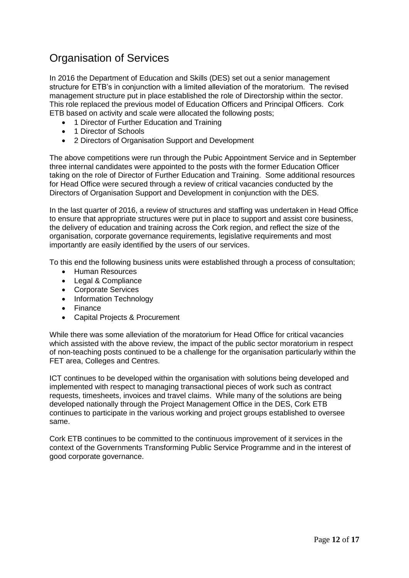# <span id="page-11-0"></span>Organisation of Services

In 2016 the Department of Education and Skills (DES) set out a senior management structure for ETB's in conjunction with a limited alleviation of the moratorium. The revised management structure put in place established the role of Directorship within the sector. This role replaced the previous model of Education Officers and Principal Officers. Cork ETB based on activity and scale were allocated the following posts;

- 1 Director of Further Education and Training
- 1 Director of Schools
- 2 Directors of Organisation Support and Development

The above competitions were run through the Pubic Appointment Service and in September three internal candidates were appointed to the posts with the former Education Officer taking on the role of Director of Further Education and Training. Some additional resources for Head Office were secured through a review of critical vacancies conducted by the Directors of Organisation Support and Development in conjunction with the DES.

In the last quarter of 2016, a review of structures and staffing was undertaken in Head Office to ensure that appropriate structures were put in place to support and assist core business, the delivery of education and training across the Cork region, and reflect the size of the organisation, corporate governance requirements, legislative requirements and most importantly are easily identified by the users of our services.

To this end the following business units were established through a process of consultation;

- Human Resources
- Legal & Compliance
- Corporate Services
- Information Technology
- Finance
- Capital Projects & Procurement

While there was some alleviation of the moratorium for Head Office for critical vacancies which assisted with the above review, the impact of the public sector moratorium in respect of non-teaching posts continued to be a challenge for the organisation particularly within the FET area, Colleges and Centres.

ICT continues to be developed within the organisation with solutions being developed and implemented with respect to managing transactional pieces of work such as contract requests, timesheets, invoices and travel claims. While many of the solutions are being developed nationally through the Project Management Office in the DES, Cork ETB continues to participate in the various working and project groups established to oversee same.

Cork ETB continues to be committed to the continuous improvement of it services in the context of the Governments Transforming Public Service Programme and in the interest of good corporate governance.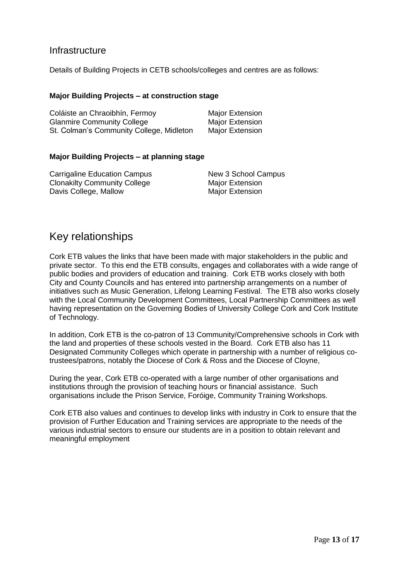#### <span id="page-12-0"></span>**Infrastructure**

Details of Building Projects in CETB schools/colleges and centres are as follows:

#### **Major Building Projects – at construction stage**

| Coláiste an Chraoibhín, Fermoy           | Major Extension        |
|------------------------------------------|------------------------|
| <b>Glanmire Community College</b>        | <b>Major Extension</b> |
| St. Colman's Community College, Midleton | Major Extension        |

#### **Major Building Projects – at planning stage**

| Carrigaline Education Campus        | New 3 School Campus    |
|-------------------------------------|------------------------|
| <b>Clonakilty Community College</b> | <b>Major Extension</b> |
| Davis College, Mallow               | <b>Major Extension</b> |

### <span id="page-12-1"></span>Key relationships

Cork ETB values the links that have been made with major stakeholders in the public and private sector. To this end the ETB consults, engages and collaborates with a wide range of public bodies and providers of education and training. Cork ETB works closely with both City and County Councils and has entered into partnership arrangements on a number of initiatives such as Music Generation, Lifelong Learning Festival. The ETB also works closely with the Local Community Development Committees, Local Partnership Committees as well having representation on the Governing Bodies of University College Cork and Cork Institute of Technology.

In addition, Cork ETB is the co-patron of 13 Community/Comprehensive schools in Cork with the land and properties of these schools vested in the Board. Cork ETB also has 11 Designated Community Colleges which operate in partnership with a number of religious cotrustees/patrons, notably the Diocese of Cork & Ross and the Diocese of Cloyne,

During the year, Cork ETB co-operated with a large number of other organisations and institutions through the provision of teaching hours or financial assistance. Such organisations include the Prison Service, Foróige, Community Training Workshops.

Cork ETB also values and continues to develop links with industry in Cork to ensure that the provision of Further Education and Training services are appropriate to the needs of the various industrial sectors to ensure our students are in a position to obtain relevant and meaningful employment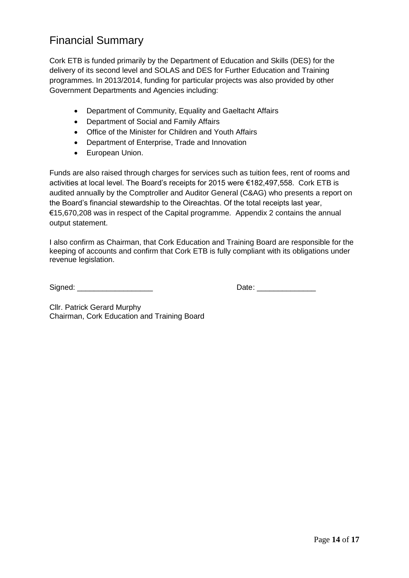## <span id="page-13-0"></span>Financial Summary

Cork ETB is funded primarily by the Department of Education and Skills (DES) for the delivery of its second level and SOLAS and DES for Further Education and Training programmes. In 2013/2014, funding for particular projects was also provided by other Government Departments and Agencies including:

- Department of Community, Equality and Gaeltacht Affairs
- Department of Social and Family Affairs
- Office of the Minister for Children and Youth Affairs
- Department of Enterprise, Trade and Innovation
- European Union.

Funds are also raised through charges for services such as tuition fees, rent of rooms and activities at local level. The Board's receipts for 2015 were €182,497,558. Cork ETB is audited annually by the Comptroller and Auditor General (C&AG) who presents a report on the Board's financial stewardship to the Oireachtas. Of the total receipts last year, €15,670,208 was in respect of the Capital programme. Appendix 2 contains the annual output statement.

I also confirm as Chairman, that Cork Education and Training Board are responsible for the keeping of accounts and confirm that Cork ETB is fully compliant with its obligations under revenue legislation.

Signed: \_\_\_\_\_\_\_\_\_\_\_\_\_\_\_\_\_\_ Date: \_\_\_\_\_\_\_\_\_\_\_\_\_\_

Cllr. Patrick Gerard Murphy Chairman, Cork Education and Training Board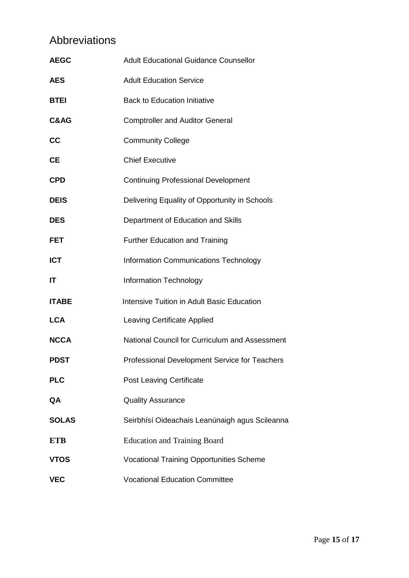# <span id="page-14-0"></span>Abbreviations

| <b>AEGC</b>     | <b>Adult Educational Guidance Counsellor</b>      |
|-----------------|---------------------------------------------------|
| AES             | <b>Adult Education Service</b>                    |
| BTEI            | <b>Back to Education Initiative</b>               |
| <b>C&amp;AG</b> | <b>Comptroller and Auditor General</b>            |
| СC              | <b>Community College</b>                          |
| CЕ              | <b>Chief Executive</b>                            |
| CPD             | <b>Continuing Professional Development</b>        |
| <b>DEIS</b>     | Delivering Equality of Opportunity in Schools     |
| DES             | Department of Education and Skills                |
| FET             | <b>Further Education and Training</b>             |
| <b>ICT</b>      | <b>Information Communications Technology</b>      |
| ΙT              | <b>Information Technology</b>                     |
| ITABE           | <b>Intensive Tuition in Adult Basic Education</b> |
| <b>LCA</b>      | <b>Leaving Certificate Applied</b>                |
| <b>NCCA</b>     | National Council for Curriculum and Assessment    |
| PDST            | Professional Development Service for Teachers     |
| <b>PLC</b>      | <b>Post Leaving Certificate</b>                   |
| QA              | <b>Quality Assurance</b>                          |
| <b>SOLAS</b>    | Seirbhísí Oideachais Leanúnaigh agus Scileanna    |
| ETB             | <b>Education and Training Board</b>               |
| VTOS            | <b>Vocational Training Opportunities Scheme</b>   |
| VEC             | <b>Vocational Education Committee</b>             |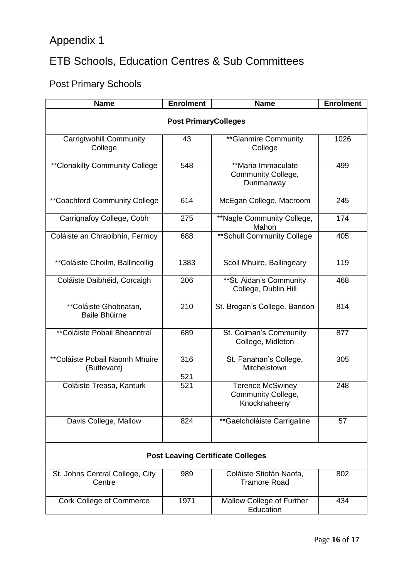# <span id="page-15-0"></span>Appendix 1

# <span id="page-15-1"></span>ETB Schools, Education Centres & Sub Committees

# <span id="page-15-2"></span>Post Primary Schools

| <b>Name</b>                                   | <b>Enrolment</b> | <b>Name</b>                                                   | <b>Enrolment</b> |
|-----------------------------------------------|------------------|---------------------------------------------------------------|------------------|
| <b>Post PrimaryColleges</b>                   |                  |                                                               |                  |
| <b>Carrigtwohill Community</b><br>College     | 43               | ** Glanmire Community<br>College                              | 1026             |
| ** Clonakilty Community College               | 548              | **Maria Immaculate<br>Community College,<br>Dunmanway         | 499              |
| ** Coachford Community College                | 614              | McEgan College, Macroom                                       | 245              |
| Carrignafoy College, Cobh                     | 275              | **Nagle Community College,<br>Mahon                           | 174              |
| Coláiste an Chraoibhín, Fermoy                | 688              | ** Schull Community College                                   | 405              |
| **Coláiste Choilm, Ballincollig               | 1383             | Scoil Mhuire, Ballingeary                                     | 119              |
| Coláiste Daibhéid, Corcaigh                   | 206              | ** St. Aidan's Community<br>College, Dublin Hill              | 468              |
| **Coláiste Ghobnatan,<br><b>Baile Bhúirne</b> | 210              | St. Brogan's College, Bandon                                  | 814              |
| **Coláiste Pobail Bheanntraí                  | 689              | St. Colman's Community<br>College, Midleton                   | 877              |
| **Coláiste Pobail Naomh Mhuire<br>(Buttevant) | 316<br>521       | St. Fanahan's College,<br>Mitchelstown                        | 305              |
| Coláiste Treasa, Kanturk                      | 521              | <b>Terence McSwiney</b><br>Community College,<br>Knocknaheeny | 248              |
| Davis College, Mallow                         | 824              | **Gaelcholáiste Carrigaline                                   | 57               |
| <b>Post Leaving Certificate Colleges</b>      |                  |                                                               |                  |
| St. Johns Central College, City<br>Centre     | 989              | Coláiste Stiofán Naofa,<br><b>Tramore Road</b>                | 802              |
| <b>Cork College of Commerce</b>               | 1971             | Mallow College of Further<br>Education                        | 434              |